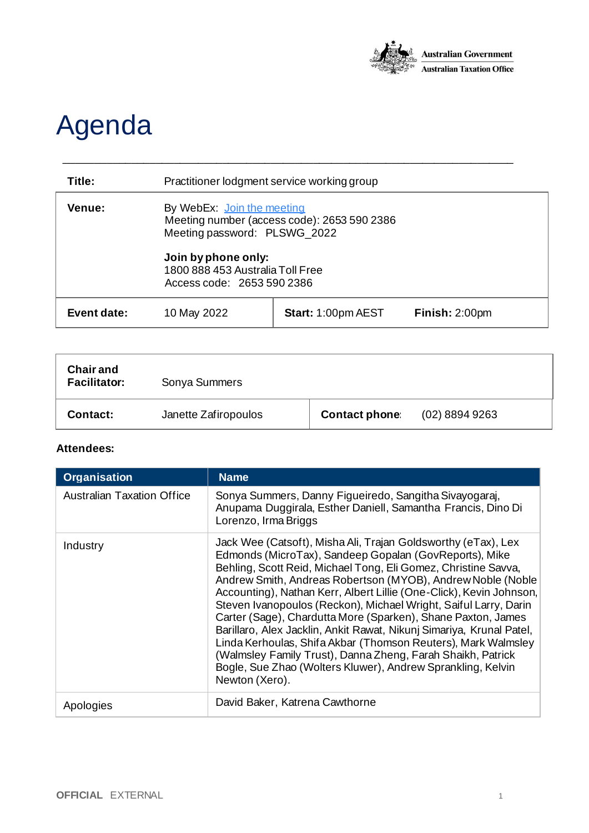

## Agenda

| Title:             | Practitioner lodgment service working group                                                                                                                                                        |                           |                |
|--------------------|----------------------------------------------------------------------------------------------------------------------------------------------------------------------------------------------------|---------------------------|----------------|
| Venue:             | By WebEx: Join the meeting<br>Meeting number (access code): 2653 590 2386<br>Meeting password: PLSWG_2022<br>Join by phone only:<br>1800 888 453 Australia Toll Free<br>Access code: 2653 590 2386 |                           |                |
| <b>Event date:</b> | 10 May 2022                                                                                                                                                                                        | <b>Start: 1:00pm AEST</b> | Finish: 2:00pm |

\_\_\_\_\_\_\_\_\_\_\_\_\_\_\_\_\_\_\_\_\_\_\_\_\_\_\_\_\_\_\_\_\_\_\_\_\_\_\_\_\_\_\_\_\_\_\_\_\_\_\_\_\_\_\_\_\_\_\_\_\_\_\_\_\_\_\_\_\_\_\_\_\_\_

| <b>Chair and</b><br><b>Facilitator:</b> | Sonya Summers        |                      |                  |
|-----------------------------------------|----------------------|----------------------|------------------|
| Contact:                                | Janette Zafiropoulos | <b>Contact phone</b> | $(02)$ 8894 9263 |

## **Attendees:**

| <b>Organisation</b>               | <b>Name</b>                                                                                                                                                                                                                                                                                                                                                                                                                                                                                                                                                                                                                                                                                                                                                  |
|-----------------------------------|--------------------------------------------------------------------------------------------------------------------------------------------------------------------------------------------------------------------------------------------------------------------------------------------------------------------------------------------------------------------------------------------------------------------------------------------------------------------------------------------------------------------------------------------------------------------------------------------------------------------------------------------------------------------------------------------------------------------------------------------------------------|
| <b>Australian Taxation Office</b> | Sonya Summers, Danny Figueiredo, Sangitha Sivayogaraj,<br>Anupama Duggirala, Esther Daniell, Samantha Francis, Dino Di<br>Lorenzo, Irma Briggs                                                                                                                                                                                                                                                                                                                                                                                                                                                                                                                                                                                                               |
| Industry                          | Jack Wee (Catsoft), Misha Ali, Trajan Goldsworthy (eTax), Lex<br>Edmonds (MicroTax), Sandeep Gopalan (GovReports), Mike<br>Behling, Scott Reid, Michael Tong, Eli Gomez, Christine Savva,<br>Andrew Smith, Andreas Robertson (MYOB), Andrew Noble (Noble<br>Accounting), Nathan Kerr, Albert Lillie (One-Click), Kevin Johnson,<br>Steven Ivanopoulos (Reckon), Michael Wright, Saiful Larry, Darin<br>Carter (Sage), Chardutta More (Sparken), Shane Paxton, James<br>Barillaro, Alex Jacklin, Ankit Rawat, Nikunj Simariya, Krunal Patel,<br>Linda Kerhoulas, Shifa Akbar (Thomson Reuters), Mark Walmsley<br>(Walmsley Family Trust), Danna Zheng, Farah Shaikh, Patrick<br>Bogle, Sue Zhao (Wolters Kluwer), Andrew Sprankling, Kelvin<br>Newton (Xero). |
| Apologies                         | David Baker, Katrena Cawthorne                                                                                                                                                                                                                                                                                                                                                                                                                                                                                                                                                                                                                                                                                                                               |